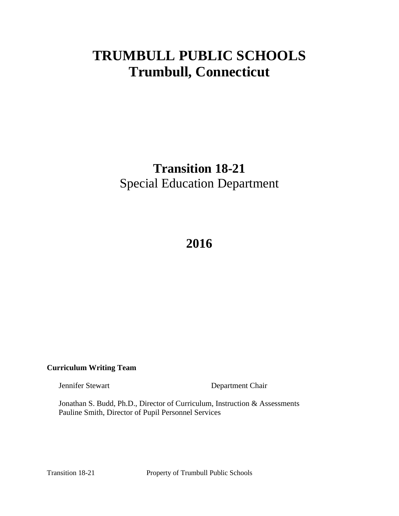# **TRUMBULL PUBLIC SCHOOLS Trumbull, Connecticut**

# **Transition 18-21** Special Education Department

# **2016**

# **Curriculum Writing Team**

Jennifer Stewart Department Chair

Jonathan S. Budd, Ph.D., Director of Curriculum, Instruction & Assessments Pauline Smith, Director of Pupil Personnel Services

Transition 18-21 Property of Trumbull Public Schools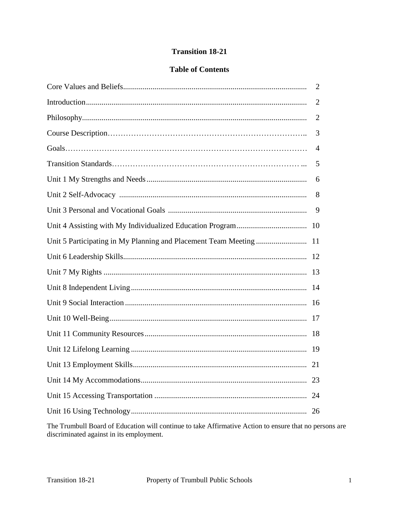# **Transition 18-21**

# **Table of Contents**

|                                                                    | 2 |
|--------------------------------------------------------------------|---|
|                                                                    | 2 |
|                                                                    | 2 |
|                                                                    | 3 |
|                                                                    | 4 |
|                                                                    | 5 |
|                                                                    | 6 |
|                                                                    | 8 |
|                                                                    | 9 |
|                                                                    |   |
| Unit 5 Participating in My Planning and Placement Team Meeting  11 |   |
|                                                                    |   |
|                                                                    |   |
|                                                                    |   |
|                                                                    |   |
|                                                                    |   |
|                                                                    |   |
|                                                                    |   |
|                                                                    |   |
|                                                                    |   |
|                                                                    |   |
|                                                                    |   |

The Trumbull Board of Education will continue to take Affirmative Action to ensure that no persons are discriminated against in its employment.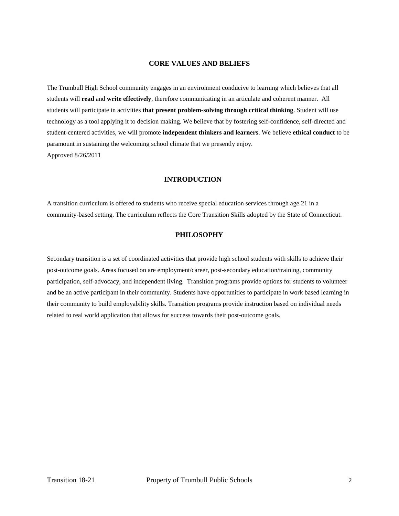#### **CORE VALUES AND BELIEFS**

The Trumbull High School community engages in an environment conducive to learning which believes that all students will **read** and **write effectively**, therefore communicating in an articulate and coherent manner. All students will participate in activities **that present problem-solving through critical thinking**. Student will use technology as a tool applying it to decision making. We believe that by fostering self-confidence, self-directed and student-centered activities, we will promote **independent thinkers and learners**. We believe **ethical conduct** to be paramount in sustaining the welcoming school climate that we presently enjoy. Approved 8/26/2011

# **INTRODUCTION**

A transition curriculum is offered to students who receive special education services through age 21 in a community-based setting. The curriculum reflects the Core Transition Skills adopted by the State of Connecticut.

# **PHILOSOPHY**

Secondary transition is a set of coordinated activities that provide high school students with skills to achieve their post-outcome goals. Areas focused on are employment/career, post-secondary education/training, community participation, self-advocacy, and independent living. Transition programs provide options for students to volunteer and be an active participant in their community. Students have opportunities to participate in work based learning in their community to build employability skills. Transition programs provide instruction based on individual needs related to real world application that allows for success towards their post-outcome goals.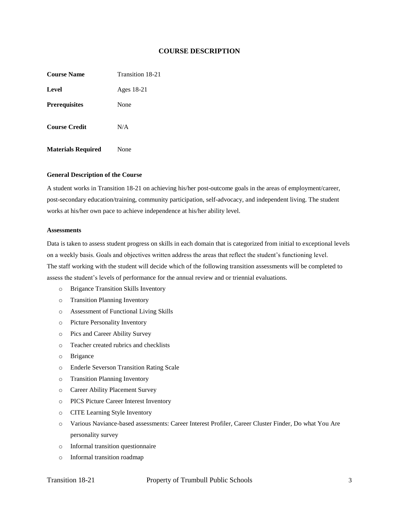#### **COURSE DESCRIPTION**

**Course Name** Transition 18-21 **Level** Ages 18-21 **Prerequisites** None **Course Credit** N/A

#### **General Description of the Course**

**Materials Required** None

A student works in Transition 18-21 on achieving his/her post-outcome goals in the areas of employment/career, post-secondary education/training, community participation, self-advocacy, and independent living. The student works at his/her own pace to achieve independence at his/her ability level.

#### **Assessments**

Data is taken to assess student progress on skills in each domain that is categorized from initial to exceptional levels on a weekly basis. Goals and objectives written address the areas that reflect the student's functioning level. The staff working with the student will decide which of the following transition assessments will be completed to assess the student's levels of performance for the annual review and or triennial evaluations.

- o Brigance Transition Skills Inventory
- o Transition Planning Inventory
- o Assessment of Functional Living Skills
- o Picture Personality Inventory
- o Pics and Career Ability Survey
- o Teacher created rubrics and checklists
- o Brigance
- o Enderle Severson Transition Rating Scale
- o Transition Planning Inventory
- o Career Ability Placement Survey
- o PICS Picture Career Interest Inventory
- o CITE Learning Style Inventory
- o Various Naviance-based assessments: Career Interest Profiler, Career Cluster Finder, Do what You Are personality survey
- o Informal transition questionnaire
- o Informal transition roadmap

#### Transition 18-21 Property of Trumbull Public Schools 3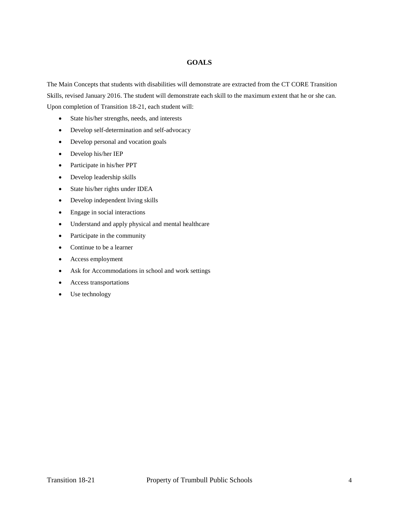# **GOALS**

The Main Concepts that students with disabilities will demonstrate are extracted from the CT CORE Transition Skills, revised January 2016. The student will demonstrate each skill to the maximum extent that he or she can. Upon completion of Transition 18-21, each student will:

- State his/her strengths, needs, and interests
- Develop self-determination and self-advocacy
- Develop personal and vocation goals
- Develop his/her IEP
- Participate in his/her PPT
- Develop leadership skills
- State his/her rights under IDEA
- Develop independent living skills
- Engage in social interactions
- Understand and apply physical and mental healthcare
- Participate in the community
- Continue to be a learner
- Access employment
- Ask for Accommodations in school and work settings
- Access transportations
- Use technology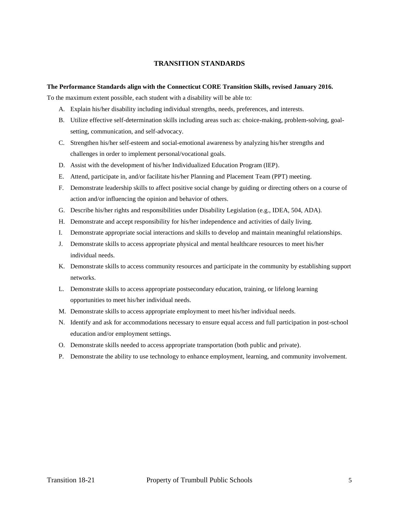#### **TRANSITION STANDARDS**

#### **The Performance Standards align with the Connecticut CORE Transition Skills, revised January 2016.**

To the maximum extent possible, each student with a disability will be able to:

- A. Explain his/her disability including individual strengths, needs, preferences, and interests.
- B. Utilize effective self-determination skills including areas such as: choice-making, problem-solving, goalsetting, communication, and self-advocacy.
- C. Strengthen his/her self-esteem and social-emotional awareness by analyzing his/her strengths and challenges in order to implement personal/vocational goals.
- D. Assist with the development of his/her Individualized Education Program (IEP).
- E. Attend, participate in, and/or facilitate his/her Planning and Placement Team (PPT) meeting.
- F. Demonstrate leadership skills to affect positive social change by guiding or directing others on a course of action and/or influencing the opinion and behavior of others.
- G. Describe his/her rights and responsibilities under Disability Legislation (e.g., IDEA, 504, ADA).
- H. Demonstrate and accept responsibility for his/her independence and activities of daily living.
- I. Demonstrate appropriate social interactions and skills to develop and maintain meaningful relationships.
- J. Demonstrate skills to access appropriate physical and mental healthcare resources to meet his/her individual needs.
- K. Demonstrate skills to access community resources and participate in the community by establishing support networks.
- L. Demonstrate skills to access appropriate postsecondary education, training, or lifelong learning opportunities to meet his/her individual needs.
- M. Demonstrate skills to access appropriate employment to meet his/her individual needs.
- N. Identify and ask for accommodations necessary to ensure equal access and full participation in post-school education and/or employment settings.
- O. Demonstrate skills needed to access appropriate transportation (both public and private).
- P. Demonstrate the ability to use technology to enhance employment, learning, and community involvement.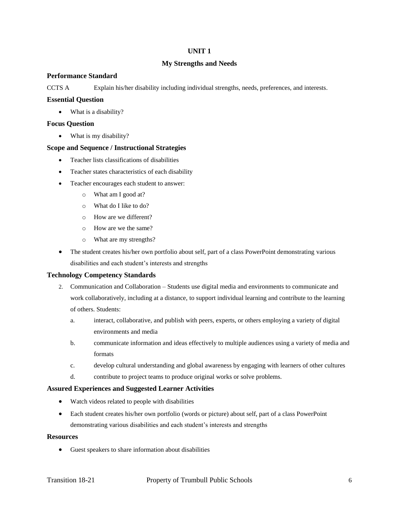#### **My Strengths and Needs**

#### **Performance Standard**

CCTS A Explain his/her disability including individual strengths, needs, preferences, and interests.

#### **Essential Question**

• What is a disability?

#### **Focus Question**

• What is my disability?

#### **Scope and Sequence / Instructional Strategies**

- Teacher lists classifications of disabilities
- Teacher states characteristics of each disability
- Teacher encourages each student to answer:
	- o What am I good at?
	- o What do I like to do?
	- o How are we different?
	- o How are we the same?
	- o What are my strengths?
- The student creates his/her own portfolio about self, part of a class PowerPoint demonstrating various disabilities and each student's interests and strengths

#### **Technology Competency Standards**

- 2. Communication and Collaboration Students use digital media and environments to communicate and work collaboratively, including at a distance, to support individual learning and contribute to the learning of others. Students:
	- a. interact, collaborative, and publish with peers, experts, or others employing a variety of digital environments and media
	- b. communicate information and ideas effectively to multiple audiences using a variety of media and formats
	- c. develop cultural understanding and global awareness by engaging with learners of other cultures
	- d. contribute to project teams to produce original works or solve problems.

#### **Assured Experiences and Suggested Learner Activities**

- Watch videos related to people with disabilities
- Each student creates his/her own portfolio (words or picture) about self, part of a class PowerPoint demonstrating various disabilities and each student's interests and strengths

#### **Resources**

Guest speakers to share information about disabilities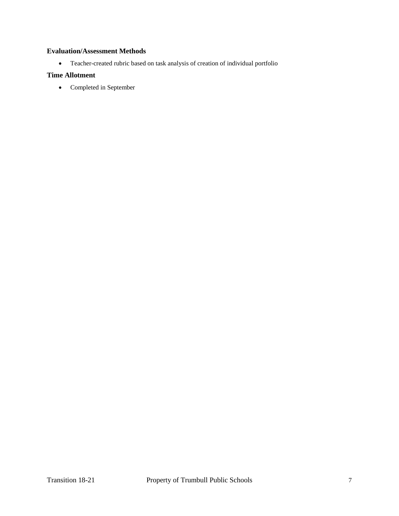# **Evaluation/Assessment Methods**

Teacher-created rubric based on task analysis of creation of individual portfolio

# **Time Allotment**

• Completed in September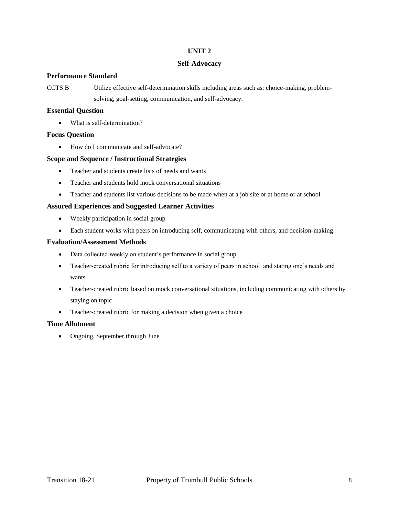#### **Self-Advocacy**

#### **Performance Standard**

CCTS B Utilize effective self-determination skills including areas such as: choice-making, problemsolving, goal-setting, communication, and self-advocacy.

# **Essential Question**

• What is self-determination?

## **Focus Question**

How do I communicate and self-advocate?

## **Scope and Sequence / Instructional Strategies**

- Teacher and students create lists of needs and wants
- Teacher and students hold mock conversational situations
- Teacher and students list various decisions to be made when at a job site or at home or at school

## **Assured Experiences and Suggested Learner Activities**

- Weekly participation in social group
- Each student works with peers on introducing self, communicating with others, and decision-making

## **Evaluation/Assessment Methods**

- Data collected weekly on student's performance in social group
- Teacher-created rubric for introducing self to a variety of peers in school and stating one's needs and wants
- Teacher-created rubric based on mock conversational situations, including communicating with others by staying on topic
- Teacher-created rubric for making a decision when given a choice

# **Time Allotment**

• Ongoing, September through June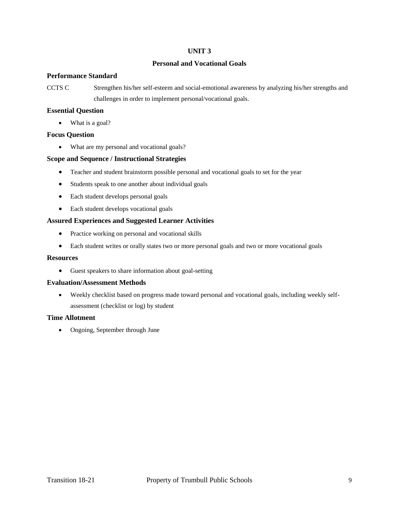## **Personal and Vocational Goals**

#### **Performance Standard**

CCTS C Strengthen his/her self-esteem and social-emotional awareness by analyzing his/her strengths and challenges in order to implement personal/vocational goals.

#### **Essential Question**

• What is a goal?

## **Focus Question**

What are my personal and vocational goals?

#### **Scope and Sequence / Instructional Strategies**

- Teacher and student brainstorm possible personal and vocational goals to set for the year
- Students speak to one another about individual goals
- Each student develops personal goals
- Each student develops vocational goals

## **Assured Experiences and Suggested Learner Activities**

- Practice working on personal and vocational skills
- Each student writes or orally states two or more personal goals and two or more vocational goals

#### **Resources**

Guest speakers to share information about goal-setting

#### **Evaluation/Assessment Methods**

 Weekly checklist based on progress made toward personal and vocational goals, including weekly selfassessment (checklist or log) by student

#### **Time Allotment**

• Ongoing, September through June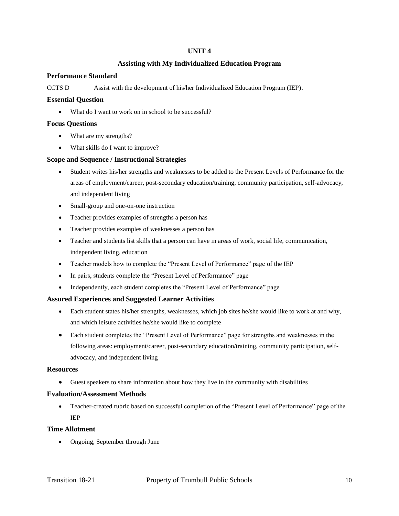# **Assisting with My Individualized Education Program**

## **Performance Standard**

CCTS D Assist with the development of his/her Individualized Education Program (IEP).

#### **Essential Question**

What do I want to work on in school to be successful?

#### **Focus Questions**

- What are my strengths?
- What skills do I want to improve?

## **Scope and Sequence / Instructional Strategies**

- Student writes his/her strengths and weaknesses to be added to the Present Levels of Performance for the areas of employment/career, post-secondary education/training, community participation, self-advocacy, and independent living
- Small-group and one-on-one instruction
- Teacher provides examples of strengths a person has
- Teacher provides examples of weaknesses a person has
- Teacher and students list skills that a person can have in areas of work, social life, communication, independent living, education
- Teacher models how to complete the "Present Level of Performance" page of the IEP
- In pairs, students complete the "Present Level of Performance" page
- Independently, each student completes the "Present Level of Performance" page

# **Assured Experiences and Suggested Learner Activities**

- Each student states his/her strengths, weaknesses, which job sites he/she would like to work at and why, and which leisure activities he/she would like to complete
- Each student completes the "Present Level of Performance" page for strengths and weaknesses in the following areas: employment/career, post-secondary education/training, community participation, selfadvocacy, and independent living

#### **Resources**

Guest speakers to share information about how they live in the community with disabilities

#### **Evaluation/Assessment Methods**

 Teacher-created rubric based on successful completion of the "Present Level of Performance" page of the IEP

#### **Time Allotment**

Ongoing, September through June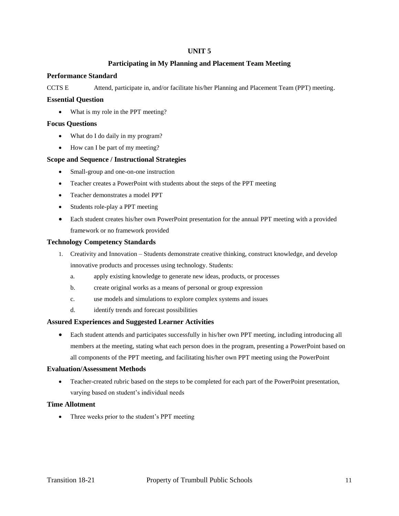# **Participating in My Planning and Placement Team Meeting**

## **Performance Standard**

CCTS E Attend, participate in, and/or facilitate his/her Planning and Placement Team (PPT) meeting.

#### **Essential Question**

• What is my role in the PPT meeting?

#### **Focus Questions**

- What do I do daily in my program?
- How can I be part of my meeting?

## **Scope and Sequence / Instructional Strategies**

- Small-group and one-on-one instruction
- Teacher creates a PowerPoint with students about the steps of the PPT meeting
- Teacher demonstrates a model PPT
- Students role-play a PPT meeting
- Each student creates his/her own PowerPoint presentation for the annual PPT meeting with a provided framework or no framework provided

## **Technology Competency Standards**

- 1. Creativity and Innovation Students demonstrate creative thinking, construct knowledge, and develop innovative products and processes using technology. Students:
	- a. apply existing knowledge to generate new ideas, products, or processes
	- b. create original works as a means of personal or group expression
	- c. use models and simulations to explore complex systems and issues
	- d. identify trends and forecast possibilities

#### **Assured Experiences and Suggested Learner Activities**

 Each student attends and participates successfully in his/her own PPT meeting, including introducing all members at the meeting, stating what each person does in the program, presenting a PowerPoint based on all components of the PPT meeting, and facilitating his/her own PPT meeting using the PowerPoint

#### **Evaluation/Assessment Methods**

 Teacher-created rubric based on the steps to be completed for each part of the PowerPoint presentation, varying based on student's individual needs

## **Time Allotment**

• Three weeks prior to the student's PPT meeting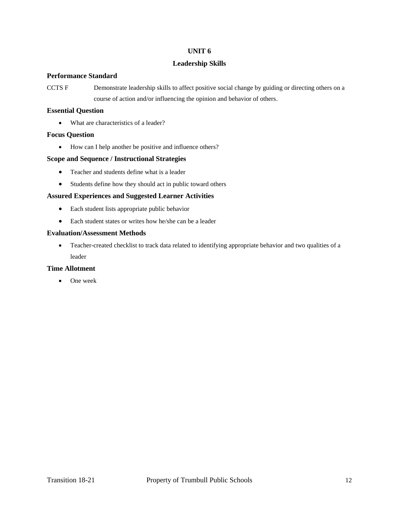# **Leadership Skills**

# **Performance Standard**

CCTS F Demonstrate leadership skills to affect positive social change by guiding or directing others on a course of action and/or influencing the opinion and behavior of others.

# **Essential Question**

• What are characteristics of a leader?

## **Focus Question**

How can I help another be positive and influence others?

## **Scope and Sequence / Instructional Strategies**

- Teacher and students define what is a leader
- Students define how they should act in public toward others

## **Assured Experiences and Suggested Learner Activities**

- Each student lists appropriate public behavior
- Each student states or writes how he/she can be a leader

## **Evaluation/Assessment Methods**

 Teacher-created checklist to track data related to identifying appropriate behavior and two qualities of a leader

## **Time Allotment**

• One week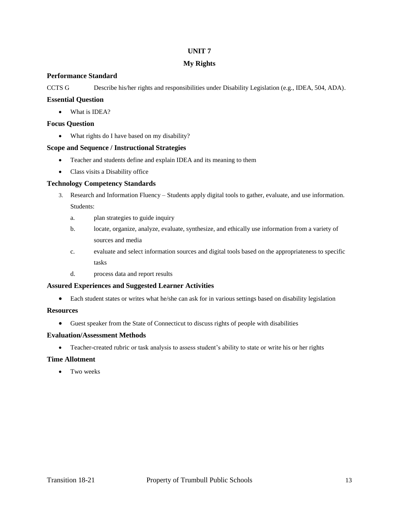# **My Rights**

# **Performance Standard**

CCTS G Describe his/her rights and responsibilities under Disability Legislation (e.g., IDEA, 504, ADA).

# **Essential Question**

• What is IDEA?

## **Focus Question**

• What rights do I have based on my disability?

## **Scope and Sequence / Instructional Strategies**

- Teacher and students define and explain IDEA and its meaning to them
- Class visits a Disability office

## **Technology Competency Standards**

- 3. Research and Information Fluency Students apply digital tools to gather, evaluate, and use information. Students:
	- a. plan strategies to guide inquiry
	- b. locate, organize, analyze, evaluate, synthesize, and ethically use information from a variety of sources and media
	- c. evaluate and select information sources and digital tools based on the appropriateness to specific tasks
	- d. process data and report results

# **Assured Experiences and Suggested Learner Activities**

Each student states or writes what he/she can ask for in various settings based on disability legislation

#### **Resources**

Guest speaker from the State of Connecticut to discuss rights of people with disabilities

## **Evaluation/Assessment Methods**

• Teacher-created rubric or task analysis to assess student's ability to state or write his or her rights

# **Time Allotment**

• Two weeks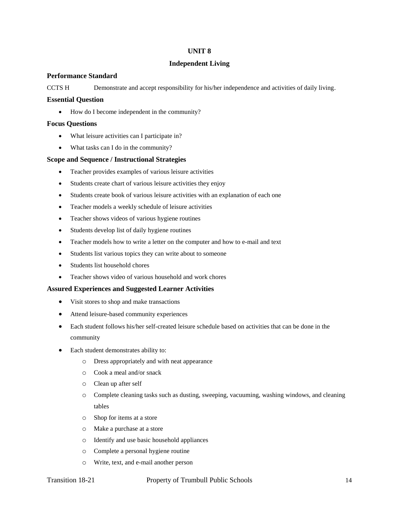#### **Independent Living**

#### **Performance Standard**

CCTS H Demonstrate and accept responsibility for his/her independence and activities of daily living.

#### **Essential Question**

• How do I become independent in the community?

#### **Focus Questions**

- What leisure activities can I participate in?
- What tasks can I do in the community?

## **Scope and Sequence / Instructional Strategies**

- Teacher provides examples of various leisure activities
- Students create chart of various leisure activities they enjoy
- Students create book of various leisure activities with an explanation of each one
- Teacher models a weekly schedule of leisure activities
- Teacher shows videos of various hygiene routines
- Students develop list of daily hygiene routines
- Teacher models how to write a letter on the computer and how to e-mail and text
- Students list various topics they can write about to someone
- Students list household chores
- Teacher shows video of various household and work chores

#### **Assured Experiences and Suggested Learner Activities**

- Visit stores to shop and make transactions
- Attend leisure-based community experiences
- Each student follows his/her self-created leisure schedule based on activities that can be done in the community
- Each student demonstrates ability to:
	- o Dress appropriately and with neat appearance
	- o Cook a meal and/or snack
	- o Clean up after self
	- o Complete cleaning tasks such as dusting, sweeping, vacuuming, washing windows, and cleaning tables
	- o Shop for items at a store
	- o Make a purchase at a store
	- o Identify and use basic household appliances
	- o Complete a personal hygiene routine
	- o Write, text, and e-mail another person

# Transition 18-21 Property of Trumbull Public Schools 14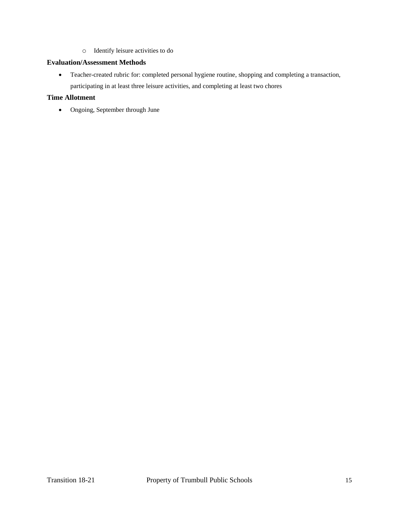o Identify leisure activities to do

# **Evaluation/Assessment Methods**

 Teacher-created rubric for: completed personal hygiene routine, shopping and completing a transaction, participating in at least three leisure activities, and completing at least two chores

# **Time Allotment**

Ongoing, September through June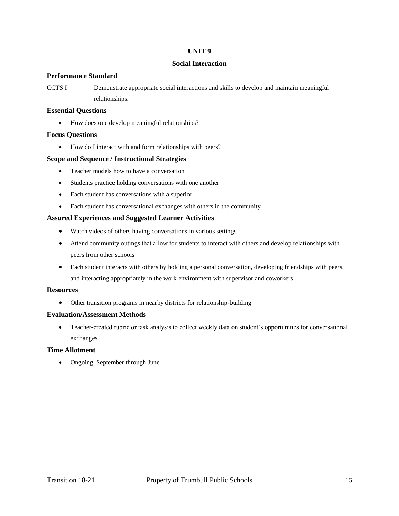#### **Social Interaction**

## **Performance Standard**

CCTS I Demonstrate appropriate social interactions and skills to develop and maintain meaningful relationships.

## **Essential Questions**

• How does one develop meaningful relationships?

## **Focus Questions**

• How do I interact with and form relationships with peers?

## **Scope and Sequence / Instructional Strategies**

- Teacher models how to have a conversation
- Students practice holding conversations with one another
- Each student has conversations with a superior
- Each student has conversational exchanges with others in the community

## **Assured Experiences and Suggested Learner Activities**

- Watch videos of others having conversations in various settings
- Attend community outings that allow for students to interact with others and develop relationships with peers from other schools
- Each student interacts with others by holding a personal conversation, developing friendships with peers, and interacting appropriately in the work environment with supervisor and coworkers

# **Resources**

Other transition programs in nearby districts for relationship-building

#### **Evaluation/Assessment Methods**

 Teacher-created rubric or task analysis to collect weekly data on student's opportunities for conversational exchanges

# **Time Allotment**

• Ongoing, September through June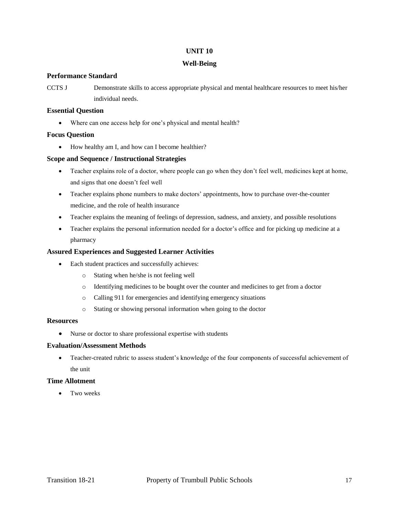#### **Well-Being**

## **Performance Standard**

CCTS J Demonstrate skills to access appropriate physical and mental healthcare resources to meet his/her individual needs.

# **Essential Question**

Where can one access help for one's physical and mental health?

# **Focus Question**

• How healthy am I, and how can I become healthier?

## **Scope and Sequence / Instructional Strategies**

- Teacher explains role of a doctor, where people can go when they don't feel well, medicines kept at home, and signs that one doesn't feel well
- Teacher explains phone numbers to make doctors' appointments, how to purchase over-the-counter medicine, and the role of health insurance
- Teacher explains the meaning of feelings of depression, sadness, and anxiety, and possible resolutions
- Teacher explains the personal information needed for a doctor's office and for picking up medicine at a pharmacy

## **Assured Experiences and Suggested Learner Activities**

- Each student practices and successfully achieves:
	- o Stating when he/she is not feeling well
	- o Identifying medicines to be bought over the counter and medicines to get from a doctor
	- o Calling 911 for emergencies and identifying emergency situations
	- o Stating or showing personal information when going to the doctor

# **Resources**

Nurse or doctor to share professional expertise with students

#### **Evaluation/Assessment Methods**

 Teacher-created rubric to assess student's knowledge of the four components of successful achievement of the unit

# **Time Allotment**

Two weeks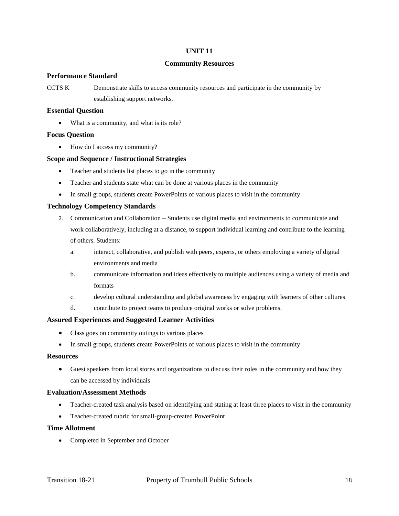# **Community Resources**

## **Performance Standard**

CCTS K Demonstrate skills to access community resources and participate in the community by establishing support networks.

## **Essential Question**

• What is a community, and what is its role?

## **Focus Question**

• How do I access my community?

## **Scope and Sequence / Instructional Strategies**

- Teacher and students list places to go in the community
- Teacher and students state what can be done at various places in the community
- In small groups, students create PowerPoints of various places to visit in the community

# **Technology Competency Standards**

- 2. Communication and Collaboration Students use digital media and environments to communicate and work collaboratively, including at a distance, to support individual learning and contribute to the learning of others. Students:
	- a. interact, collaborative, and publish with peers, experts, or others employing a variety of digital environments and media
	- b. communicate information and ideas effectively to multiple audiences using a variety of media and formats
	- c. develop cultural understanding and global awareness by engaging with learners of other cultures
	- d. contribute to project teams to produce original works or solve problems.

#### **Assured Experiences and Suggested Learner Activities**

- Class goes on community outings to various places
- In small groups, students create PowerPoints of various places to visit in the community

#### **Resources**

 Guest speakers from local stores and organizations to discuss their roles in the community and how they can be accessed by individuals

# **Evaluation/Assessment Methods**

- Teacher-created task analysis based on identifying and stating at least three places to visit in the community
- Teacher-created rubric for small-group-created PowerPoint

#### **Time Allotment**

Completed in September and October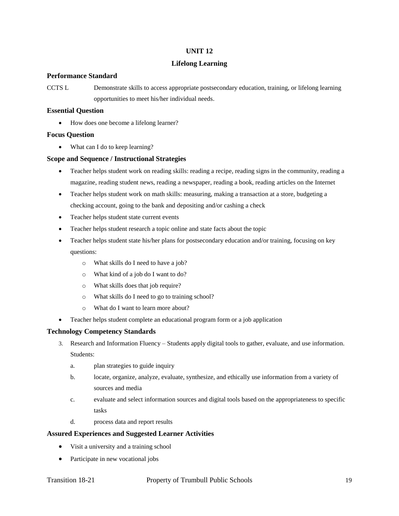#### **Lifelong Learning**

## **Performance Standard**

CCTS L Demonstrate skills to access appropriate postsecondary education, training, or lifelong learning opportunities to meet his/her individual needs.

## **Essential Question**

How does one become a lifelong learner?

## **Focus Question**

• What can I do to keep learning?

## **Scope and Sequence / Instructional Strategies**

- Teacher helps student work on reading skills: reading a recipe, reading signs in the community, reading a magazine, reading student news, reading a newspaper, reading a book, reading articles on the Internet
- Teacher helps student work on math skills: measuring, making a transaction at a store, budgeting a checking account, going to the bank and depositing and/or cashing a check
- Teacher helps student state current events
- Teacher helps student research a topic online and state facts about the topic
- Teacher helps student state his/her plans for postsecondary education and/or training, focusing on key questions:
	- o What skills do I need to have a job?
	- o What kind of a job do I want to do?
	- o What skills does that job require?
	- o What skills do I need to go to training school?
	- o What do I want to learn more about?
- Teacher helps student complete an educational program form or a job application

# **Technology Competency Standards**

- 3. Research and Information Fluency Students apply digital tools to gather, evaluate, and use information. Students:
	- a. plan strategies to guide inquiry
	- b. locate, organize, analyze, evaluate, synthesize, and ethically use information from a variety of sources and media
	- c. evaluate and select information sources and digital tools based on the appropriateness to specific tasks
	- d. process data and report results

# **Assured Experiences and Suggested Learner Activities**

- Visit a university and a training school
- Participate in new vocational jobs

# Transition 18-21 Property of Trumbull Public Schools 19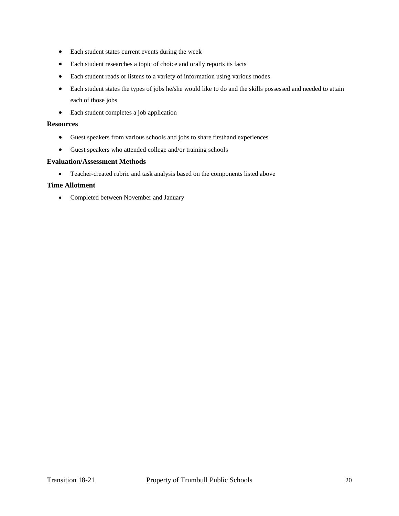- Each student states current events during the week
- Each student researches a topic of choice and orally reports its facts
- Each student reads or listens to a variety of information using various modes
- Each student states the types of jobs he/she would like to do and the skills possessed and needed to attain each of those jobs
- Each student completes a job application

#### **Resources**

- Guest speakers from various schools and jobs to share firsthand experiences
- Guest speakers who attended college and/or training schools

#### **Evaluation/Assessment Methods**

Teacher-created rubric and task analysis based on the components listed above

## **Time Allotment**

Completed between November and January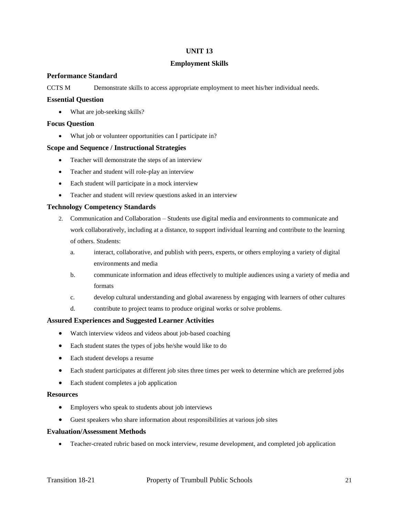# **Employment Skills**

# **Performance Standard**

CCTS M Demonstrate skills to access appropriate employment to meet his/her individual needs.

#### **Essential Question**

• What are job-seeking skills?

#### **Focus Question**

What job or volunteer opportunities can I participate in?

#### **Scope and Sequence / Instructional Strategies**

- Teacher will demonstrate the steps of an interview
- Teacher and student will role-play an interview
- Each student will participate in a mock interview
- Teacher and student will review questions asked in an interview

## **Technology Competency Standards**

- 2. Communication and Collaboration Students use digital media and environments to communicate and work collaboratively, including at a distance, to support individual learning and contribute to the learning of others. Students:
	- a. interact, collaborative, and publish with peers, experts, or others employing a variety of digital environments and media
	- b. communicate information and ideas effectively to multiple audiences using a variety of media and formats
	- c. develop cultural understanding and global awareness by engaging with learners of other cultures
	- d. contribute to project teams to produce original works or solve problems.

#### **Assured Experiences and Suggested Learner Activities**

- Watch interview videos and videos about job-based coaching
- Each student states the types of jobs he/she would like to do
- Each student develops a resume
- Each student participates at different job sites three times per week to determine which are preferred jobs
- Each student completes a job application

#### **Resources**

- Employers who speak to students about job interviews
- Guest speakers who share information about responsibilities at various job sites

#### **Evaluation/Assessment Methods**

Teacher-created rubric based on mock interview, resume development, and completed job application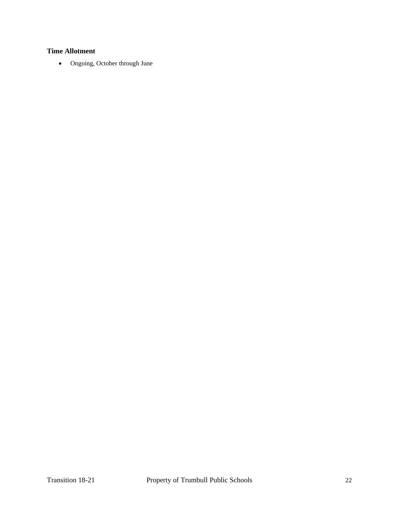# **Time Allotment**

Ongoing, October through June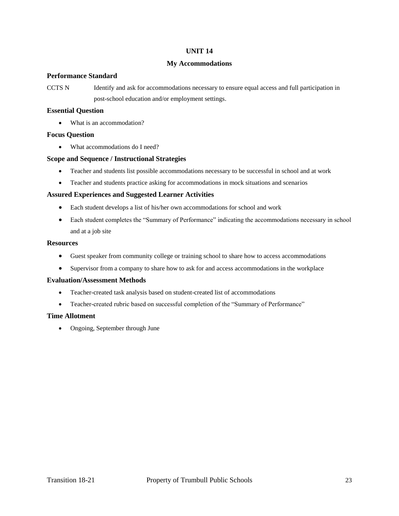#### **My Accommodations**

#### **Performance Standard**

CCTS N Identify and ask for accommodations necessary to ensure equal access and full participation in post-school education and/or employment settings.

# **Essential Question**

• What is an accommodation?

## **Focus Question**

What accommodations do I need?

#### **Scope and Sequence / Instructional Strategies**

- Teacher and students list possible accommodations necessary to be successful in school and at work
- Teacher and students practice asking for accommodations in mock situations and scenarios

## **Assured Experiences and Suggested Learner Activities**

- Each student develops a list of his/her own accommodations for school and work
- Each student completes the "Summary of Performance" indicating the accommodations necessary in school and at a job site

#### **Resources**

- Guest speaker from community college or training school to share how to access accommodations
- Supervisor from a company to share how to ask for and access accommodations in the workplace

#### **Evaluation/Assessment Methods**

- Teacher-created task analysis based on student-created list of accommodations
- Teacher-created rubric based on successful completion of the "Summary of Performance"

#### **Time Allotment**

• Ongoing, September through June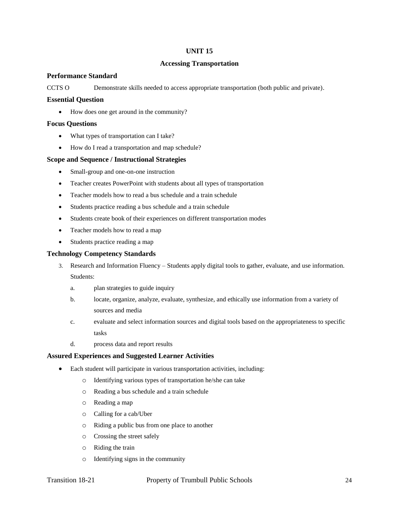#### **Accessing Transportation**

#### **Performance Standard**

CCTS O Demonstrate skills needed to access appropriate transportation (both public and private).

#### **Essential Question**

• How does one get around in the community?

#### **Focus Questions**

- What types of transportation can I take?
- How do I read a transportation and map schedule?

#### **Scope and Sequence / Instructional Strategies**

- Small-group and one-on-one instruction
- Teacher creates PowerPoint with students about all types of transportation
- Teacher models how to read a bus schedule and a train schedule
- Students practice reading a bus schedule and a train schedule
- Students create book of their experiences on different transportation modes
- Teacher models how to read a map
- Students practice reading a map

## **Technology Competency Standards**

- 3. Research and Information Fluency Students apply digital tools to gather, evaluate, and use information. Students:
	- a. plan strategies to guide inquiry
	- b. locate, organize, analyze, evaluate, synthesize, and ethically use information from a variety of sources and media
	- c. evaluate and select information sources and digital tools based on the appropriateness to specific tasks
	- d. process data and report results

#### **Assured Experiences and Suggested Learner Activities**

- Each student will participate in various transportation activities, including:
	- o Identifying various types of transportation he/she can take
	- o Reading a bus schedule and a train schedule
	- o Reading a map
	- o Calling for a cab/Uber
	- o Riding a public bus from one place to another
	- o Crossing the street safely
	- o Riding the train
	- o Identifying signs in the community

# Transition 18-21 Property of Trumbull Public Schools 24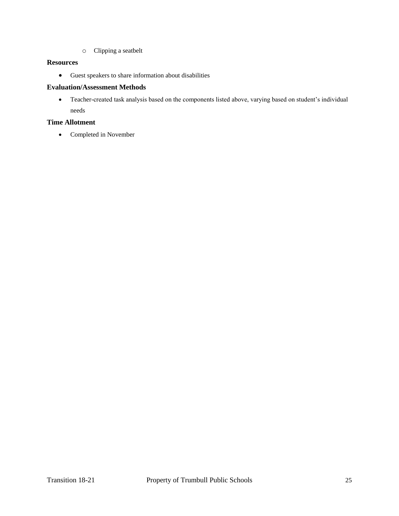o Clipping a seatbelt

# **Resources**

Guest speakers to share information about disabilities

# **Evaluation/Assessment Methods**

 Teacher-created task analysis based on the components listed above, varying based on student's individual needs

# **Time Allotment**

• Completed in November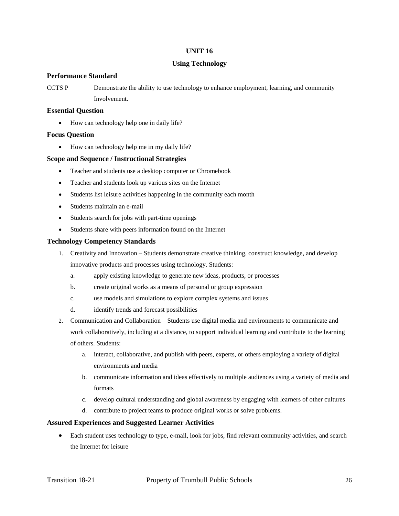#### **Using Technology**

#### **Performance Standard**

CCTS P Demonstrate the ability to use technology to enhance employment, learning, and community Involvement.

#### **Essential Question**

• How can technology help one in daily life?

## **Focus Question**

• How can technology help me in my daily life?

# **Scope and Sequence / Instructional Strategies**

- Teacher and students use a desktop computer or Chromebook
- Teacher and students look up various sites on the Internet
- Students list leisure activities happening in the community each month
- Students maintain an e-mail
- Students search for jobs with part-time openings
- Students share with peers information found on the Internet

## **Technology Competency Standards**

- 1. Creativity and Innovation Students demonstrate creative thinking, construct knowledge, and develop innovative products and processes using technology. Students:
	- a. apply existing knowledge to generate new ideas, products, or processes
	- b. create original works as a means of personal or group expression
	- c. use models and simulations to explore complex systems and issues
	- d. identify trends and forecast possibilities
- 2. Communication and Collaboration Students use digital media and environments to communicate and work collaboratively, including at a distance, to support individual learning and contribute to the learning of others. Students:
	- a. interact, collaborative, and publish with peers, experts, or others employing a variety of digital environments and media
	- b. communicate information and ideas effectively to multiple audiences using a variety of media and formats
	- c. develop cultural understanding and global awareness by engaging with learners of other cultures
	- d. contribute to project teams to produce original works or solve problems.

#### **Assured Experiences and Suggested Learner Activities**

 Each student uses technology to type, e-mail, look for jobs, find relevant community activities, and search the Internet for leisure